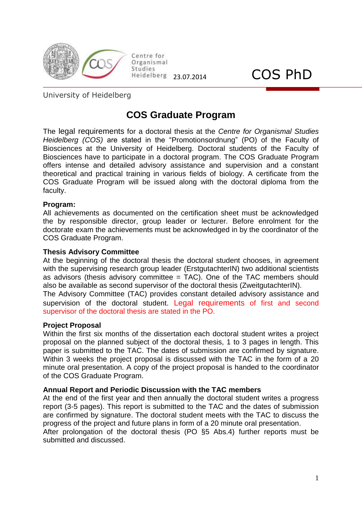

Organismal Studies  $\frac{\text{Studies}}{\text{Heldeiberg}}$  23.07.2014  $\text{COS PhD}$ 

Centre for

University of Heidelberg

## **COS Graduate Program**

The [legal](http://www2.dict.cc/?s=legal) [requirements](http://www2.dict.cc/?s=requirements) for a doctoral thesis at the *Centre for Organismal Studies Heidelberg (COS)* are stated in the "Promotionsordnung" (PO) of the Faculty of Biosciences at the University of Heidelberg. Doctoral students of the Faculty of Biosciences have to participate in a doctoral program. The COS Graduate Program offers intense and detailed advisory assistance and supervision and a constant theoretical and practical training in various fields of biology. A certificate from the COS Graduate Program will be issued along with the doctoral diploma from the faculty.

### **Program:**

All achievements as documented on the certification sheet must be acknowledged the by responsible director, group leader or lecturer. Before enrolment for the doctorate exam the achievements must be acknowledged in by the coordinator of the COS Graduate Program.

### **Thesis Advisory Committee**

At the beginning of the doctoral thesis the doctoral student chooses, in agreement with the supervising research group leader (ErstgutachterIN) two additional scientists as advisors (thesis advisory committee = TAC). One of the TAC members should also be available as second supervisor of the doctoral thesis (ZweitgutachterIN).

The Advisory Committee (TAC) provides constant detailed advisory assistance and supervision of the doctoral student. [Legal](http://www2.dict.cc/?s=legal) [requirements](http://www2.dict.cc/?s=requirements) of first and second supervisor of the doctoral thesis are stated in the PO.

### **Project Proposal**

Within the first six months of the dissertation each doctoral student writes a project proposal on the planned subject of the doctoral thesis, 1 to 3 pages in length. This paper is submitted to the TAC. The dates of submission are confirmed by signature. Within 3 weeks the project proposal is discussed with the TAC in the form of a 20 minute oral presentation. A copy of the project proposal is handed to the coordinator of the COS Graduate Program.

### **Annual Report and Periodic Discussion with the TAC members**

At the end of the first year and then annually the doctoral student writes a progress report (3-5 pages). This report is submitted to the TAC and the dates of submission are confirmed by signature. The doctoral student meets with the TAC to discuss the progress of the project and future plans in form of a 20 minute oral presentation.

After prolongation of the doctoral thesis (PO §5 Abs.4) further reports must be submitted and discussed.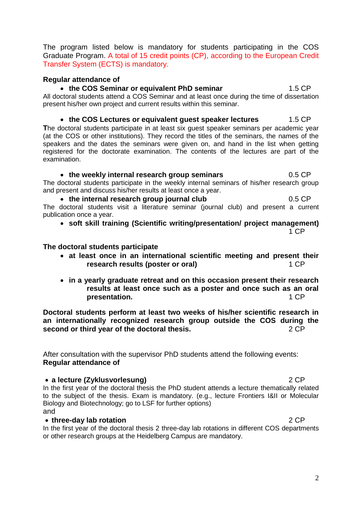The program listed below is mandatory for students participating in the COS Graduate Program. A total of 15 credit points (CP), according to the European Credit Transfer System (ECTS) is mandatory.

### **Regular attendance of**

### • the COS Seminar or equivalent PhD seminar **1.5 CP**

All doctoral students attend a COS Seminar and at least once during the time of dissertation present his/her own project and current results within this seminar.

### • the COS Lectures or equivalent guest speaker lectures 1.5 CP

**T**he doctoral students participate in at least six guest speaker seminars per academic year (at the COS or other institutions). They record the titles of the seminars, the names of the speakers and the dates the seminars were given on, and hand in the list when getting registered for the doctorate examination. The contents of the lectures are part of the examination.

### **the weekly internal research group seminars** 0.5 CP

The doctoral students participate in the weekly internal seminars of his/her research group and present and discuss his/her results at least once a year.

#### • the internal research group journal club 0.5 CP

The doctoral students visit a literature seminar (journal club) and present a current publication once a year.

**soft skill training (Scientific writing/presentation/ project management)**

1 CP

### **The doctoral students participate**

- **at least once in an international scientific meeting and present their research results (poster or oral)** 1 CP
- **in a yearly graduate retreat and on this occasion present their research results at least once such as a poster and once such as an oral presentation.** 1 CP

**Doctoral students perform at least two weeks of his/her scientific research in an internationally recognized research group outside the COS during the second or third year of the doctoral thesis.** The second or third year of the doctoral thesis.

After consultation with the supervisor PhD students attend the following events: **Regular attendance of** 

### **a lecture (Zyklusvorlesung)** 2 CP

In the first year of the doctoral thesis the PhD student attends a lecture thematically related to the subject of the thesis. Exam is mandatory. (e.g., lecture Frontiers I&II or Molecular Biology and Biotechnology; go to LSF for further options)

and

### **three-day lab rotation** 2 CP

In the first year of the doctoral thesis 2 three-day lab rotations in different COS departments or other research groups at the Heidelberg Campus are mandatory.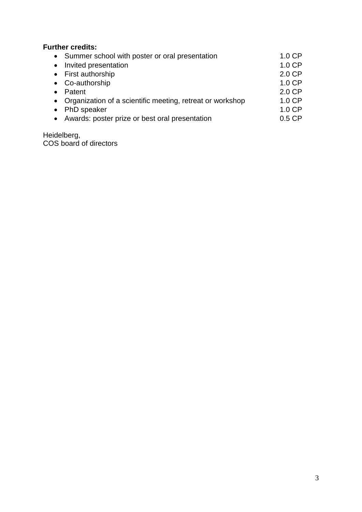### **Further credits:**

|           | • Summer school with poster or oral presentation            | $1.0$ CP |
|-----------|-------------------------------------------------------------|----------|
| $\bullet$ | Invited presentation                                        | 1.0 CP   |
|           | • First authorship                                          | 2.0 CP   |
|           | • Co-authorship                                             | 1.0 CP   |
|           | Patent                                                      | $2.0$ CP |
|           | • Organization of a scientific meeting, retreat or workshop | 1.0 CP   |
|           | PhD speaker                                                 | 1.0 CP   |
|           | • Awards: poster prize or best oral presentation            | $0.5$ CP |
|           |                                                             |          |

Heidelberg, COS board of directors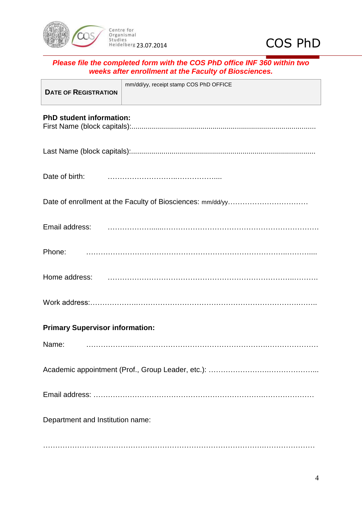



| Please file the completed form with the COS PhD office INF 360 within two<br>weeks after enrollment at the Faculty of Biosciences. |                                        |  |  |
|------------------------------------------------------------------------------------------------------------------------------------|----------------------------------------|--|--|
| <b>DATE OF REGISTRATION</b>                                                                                                        | mm/dd/yy, receipt stamp COS PhD OFFICE |  |  |
| <b>PhD student information:</b>                                                                                                    |                                        |  |  |
|                                                                                                                                    |                                        |  |  |
| Date of birth:                                                                                                                     |                                        |  |  |
|                                                                                                                                    |                                        |  |  |
| Email address:                                                                                                                     |                                        |  |  |
| Phone:                                                                                                                             |                                        |  |  |
| Home address:                                                                                                                      |                                        |  |  |
|                                                                                                                                    |                                        |  |  |
| <b>Primary Supervisor information:</b>                                                                                             |                                        |  |  |
| Name:                                                                                                                              |                                        |  |  |

Academic appointment (Prof., Group Leader, etc.): ………………………………………………………………………………

Email address: …………………………………………………………….…………………

Department and Institution name:

……………………………………………………………………………….…………………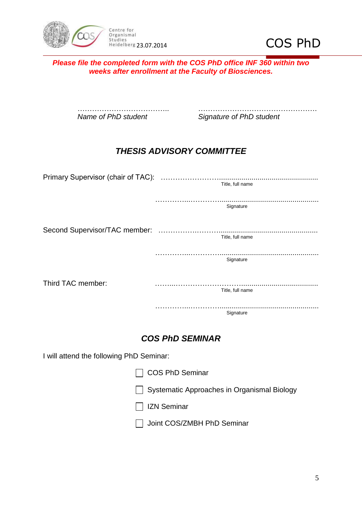



*Please file the completed form with the COS PhD office INF 360 within two weeks after enrollment at the Faculty of Biosciences.*

……………………………….. …………………………………………. *Name of PhD student Signature of PhD student*

### *THESIS ADVISORY COMMITTEE*

|                                          | Title, full name                            |
|------------------------------------------|---------------------------------------------|
|                                          | Signature                                   |
|                                          | Title, full name                            |
|                                          | Signature                                   |
| Third TAC member:                        |                                             |
|                                          | Title, full name                            |
|                                          | Signature                                   |
|                                          | <b>COS PhD SEMINAR</b>                      |
| I will attend the following PhD Seminar: |                                             |
|                                          | <b>COS PhD Seminar</b>                      |
|                                          | Systematic Approaches in Organismal Biology |
|                                          | <b>IZN Seminar</b>                          |
|                                          | Joint COS/ZMBH PhD Seminar                  |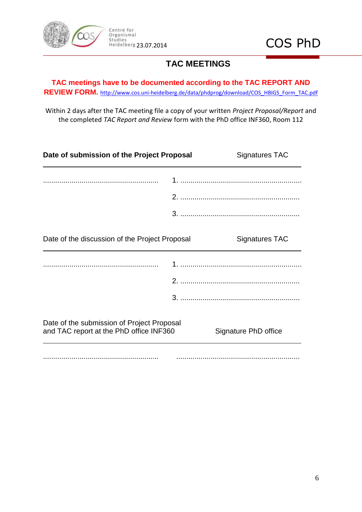

### **TAC MEETINGS**

**TAC meetings have to be documented according to the TAC REPORT AND REVIEW FORM.** [http://www.cos.uni-heidelberg.de/data/phdprog/download/COS\\_HBIGS\\_Form\\_TAC.pdf](http://www.cos.uni-heidelberg.de/data/phdprog/download/COS_HBIGS_Form_TAC.pdf)

Within 2 days after the TAC meeting file a copy of your written *Project Proposal/Report* and the completed *TAC Report and Review* form with the PhD office INF360, Room 112

| Date of submission of the Project Proposal                                            |  | <b>Signatures TAC</b> |  |
|---------------------------------------------------------------------------------------|--|-----------------------|--|
|                                                                                       |  |                       |  |
|                                                                                       |  |                       |  |
|                                                                                       |  |                       |  |
| Date of the discussion of the Project Proposal                                        |  | <b>Signatures TAC</b> |  |
|                                                                                       |  |                       |  |
|                                                                                       |  |                       |  |
|                                                                                       |  |                       |  |
| Date of the submission of Project Proposal<br>and TAC report at the PhD office INF360 |  | Signature PhD office  |  |
|                                                                                       |  |                       |  |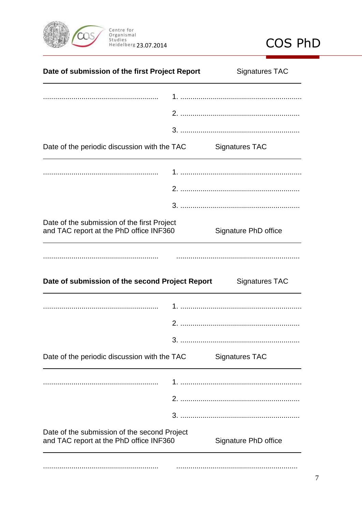



| Date of submission of the first Project Report  | <b>Signatures TAC</b> |
|-------------------------------------------------|-----------------------|
|                                                 |                       |
|                                                 |                       |
| Date of the periodic discussion with the TAC    | <b>Signatures TAC</b> |
|                                                 |                       |
|                                                 |                       |
| Date of the submission of the first Project     | Signature PhD office  |
| and TAC report at the PhD office INF360         |                       |
| Date of submission of the second Project Report | <b>Signatures TAC</b> |
|                                                 |                       |
|                                                 |                       |
| Date of the periodic discussion with the TAC    | <b>Signatures TAC</b> |
|                                                 |                       |
|                                                 |                       |
| Date of the submission of the second Project    |                       |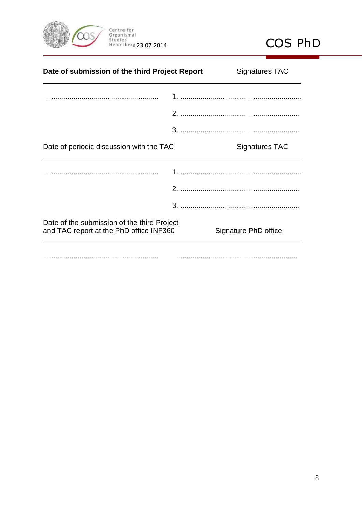



| Date of submission of the third Project Report                                         |  | <b>Signatures TAC</b> |  |
|----------------------------------------------------------------------------------------|--|-----------------------|--|
|                                                                                        |  |                       |  |
|                                                                                        |  |                       |  |
|                                                                                        |  |                       |  |
| Date of periodic discussion with the TAC                                               |  | Signatures TAC        |  |
|                                                                                        |  |                       |  |
|                                                                                        |  |                       |  |
|                                                                                        |  |                       |  |
| Date of the submission of the third Project<br>and TAC report at the PhD office INF360 |  | Signature PhD office  |  |
|                                                                                        |  |                       |  |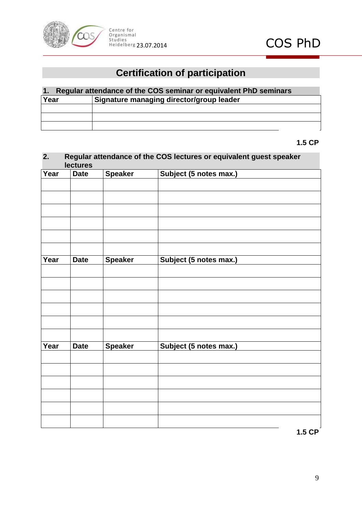

# **Certification of participation**

| 1. Regular attendance of the COS seminar or equivalent PhD seminars |                                          |  |  |
|---------------------------------------------------------------------|------------------------------------------|--|--|
| Year                                                                | Signature managing director/group leader |  |  |
|                                                                     |                                          |  |  |
|                                                                     |                                          |  |  |
|                                                                     |                                          |  |  |

**1.5 CP**

### **2. Regular attendance of the COS lectures or equivalent guest speaker lectures**

| Year | <b>Date</b> | <b>Speaker</b> | Subject (5 notes max.) |
|------|-------------|----------------|------------------------|
|      |             |                |                        |
|      |             |                |                        |
|      |             |                |                        |
|      |             |                |                        |
|      |             |                |                        |
|      |             |                |                        |
|      |             |                |                        |
|      |             |                |                        |
| Year | <b>Date</b> | <b>Speaker</b> | Subject (5 notes max.) |
|      |             |                |                        |
|      |             |                |                        |
|      |             |                |                        |
|      |             |                |                        |
|      |             |                |                        |
|      |             |                |                        |
|      |             |                |                        |
| Year | <b>Date</b> | <b>Speaker</b> | Subject (5 notes max.) |
|      |             |                |                        |
|      |             |                |                        |
|      |             |                |                        |
|      |             |                |                        |
|      |             |                |                        |
|      |             |                |                        |
|      |             |                |                        |
|      |             |                |                        |

**1.5 CP**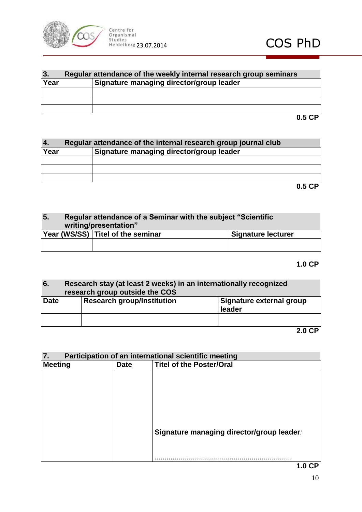

| 3.   | Regular attendance of the weekly internal research group seminars |  |  |
|------|-------------------------------------------------------------------|--|--|
| Year | Signature managing director/group leader                          |  |  |
|      |                                                                   |  |  |
|      |                                                                   |  |  |
|      |                                                                   |  |  |
|      |                                                                   |  |  |

**4. Regular attendance of the internal research group journal club Year Signature managing director/group leader**

**0.5 CP**

### **5. Regular attendance of a Seminar with the subject "Scientific writing/presentation"**

| Year (WS/SS) Titel of the seminar | <b>Signature lecturer</b> |
|-----------------------------------|---------------------------|
|                                   |                           |

### **1.0 CP**

# **6. Research stay (at least 2 weeks) in an internationally recognized research group outside the COS**

| <b>Date</b> | Research group/Institution | Signature external group<br>leader |
|-------------|----------------------------|------------------------------------|
|             |                            |                                    |
|             |                            |                                    |

**2.0 CP**

### **7. Participation of an international scientific meeting**

| <b>Meeting</b> | <b>Date</b> | <b>Titel of the Poster/Oral</b>           |
|----------------|-------------|-------------------------------------------|
|                |             |                                           |
|                |             |                                           |
|                |             |                                           |
|                |             |                                           |
|                |             |                                           |
|                |             |                                           |
|                |             |                                           |
|                |             | Signature managing director/group leader: |
|                |             |                                           |
|                |             |                                           |
|                |             |                                           |